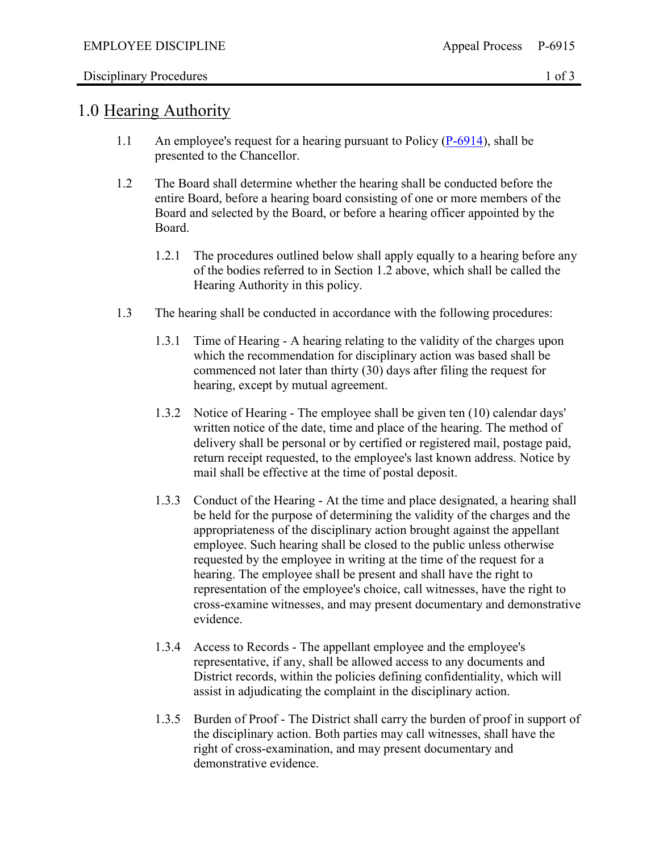## Disciplinary Procedures 1 of 3

## 1.0 Hearing Authority

- 1.1 An employee's request for a hearing pursuant to Policy  $(P-6914)$ , shall be presented to the Chancellor.
- 1.2 The Board shall determine whether the hearing shall be conducted before the entire Board, before a hearing board consisting of one or more members of the Board and selected by the Board, or before a hearing officer appointed by the Board.
	- 1.2.1 The procedures outlined below shall apply equally to a hearing before any of the bodies referred to in Section 1.2 above, which shall be called the Hearing Authority in this policy.
- 1.3 The hearing shall be conducted in accordance with the following procedures:
	- 1.3.1 Time of Hearing A hearing relating to the validity of the charges upon which the recommendation for disciplinary action was based shall be commenced not later than thirty (30) days after filing the request for hearing, except by mutual agreement.
	- 1.3.2 Notice of Hearing The employee shall be given ten (10) calendar days' written notice of the date, time and place of the hearing. The method of delivery shall be personal or by certified or registered mail, postage paid, return receipt requested, to the employee's last known address. Notice by mail shall be effective at the time of postal deposit.
	- 1.3.3 Conduct of the Hearing At the time and place designated, a hearing shall be held for the purpose of determining the validity of the charges and the appropriateness of the disciplinary action brought against the appellant employee. Such hearing shall be closed to the public unless otherwise requested by the employee in writing at the time of the request for a hearing. The employee shall be present and shall have the right to representation of the employee's choice, call witnesses, have the right to cross-examine witnesses, and may present documentary and demonstrative evidence.
	- 1.3.4 Access to Records The appellant employee and the employee's representative, if any, shall be allowed access to any documents and District records, within the policies defining confidentiality, which will assist in adjudicating the complaint in the disciplinary action.
	- 1.3.5 Burden of Proof The District shall carry the burden of proof in support of the disciplinary action. Both parties may call witnesses, shall have the right of cross-examination, and may present documentary and demonstrative evidence.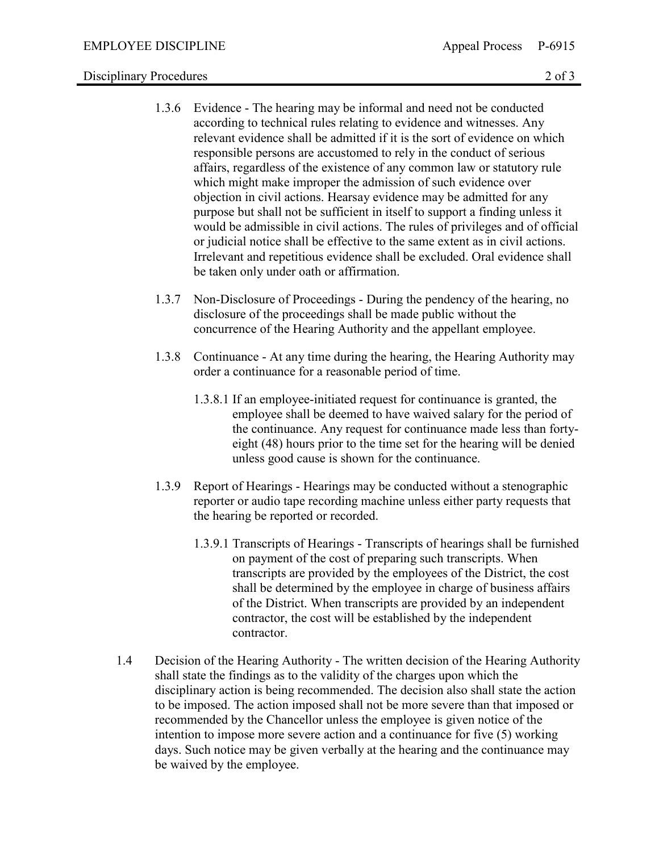## Disciplinary Procedures 2 of 3

- 1.3.6 Evidence The hearing may be informal and need not be conducted according to technical rules relating to evidence and witnesses. Any relevant evidence shall be admitted if it is the sort of evidence on which responsible persons are accustomed to rely in the conduct of serious affairs, regardless of the existence of any common law or statutory rule which might make improper the admission of such evidence over objection in civil actions. Hearsay evidence may be admitted for any purpose but shall not be sufficient in itself to support a finding unless it would be admissible in civil actions. The rules of privileges and of official or judicial notice shall be effective to the same extent as in civil actions. Irrelevant and repetitious evidence shall be excluded. Oral evidence shall be taken only under oath or affirmation.
- 1.3.7 Non-Disclosure of Proceedings During the pendency of the hearing, no disclosure of the proceedings shall be made public without the concurrence of the Hearing Authority and the appellant employee.
- 1.3.8 Continuance At any time during the hearing, the Hearing Authority may order a continuance for a reasonable period of time.
	- 1.3.8.1 If an employee-initiated request for continuance is granted, the employee shall be deemed to have waived salary for the period of the continuance. Any request for continuance made less than fortyeight (48) hours prior to the time set for the hearing will be denied unless good cause is shown for the continuance.
- 1.3.9 Report of Hearings Hearings may be conducted without a stenographic reporter or audio tape recording machine unless either party requests that the hearing be reported or recorded.
	- 1.3.9.1 Transcripts of Hearings Transcripts of hearings shall be furnished on payment of the cost of preparing such transcripts. When transcripts are provided by the employees of the District, the cost shall be determined by the employee in charge of business affairs of the District. When transcripts are provided by an independent contractor, the cost will be established by the independent contractor.
- 1.4 Decision of the Hearing Authority The written decision of the Hearing Authority shall state the findings as to the validity of the charges upon which the disciplinary action is being recommended. The decision also shall state the action to be imposed. The action imposed shall not be more severe than that imposed or recommended by the Chancellor unless the employee is given notice of the intention to impose more severe action and a continuance for five (5) working days. Such notice may be given verbally at the hearing and the continuance may be waived by the employee.